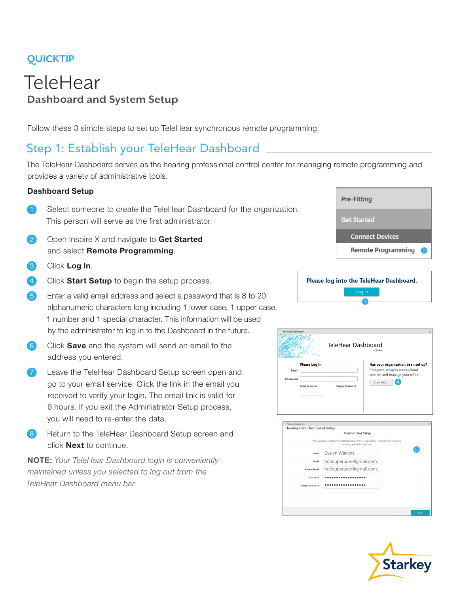### **QUICKTIP**

# **TeleHear Dashboard and System Setup**

Follow these 3 simple steps to set up TeleHear synchronous remote programming.

## Step 1: Establish your TeleHear Dashboard

The TeleHear Dashboard serves as the hearing professional control center for managing remote programming and provides a variety of administrative tools.

#### Dashboard Setup

- Select someone to create the TeleHear Dashboard for the organization. This person will serve as the first administrator.
- 2 Open Inspire X and navigate to Get Started and select Remote Programming.
- 3 Click Log In.
- 4 Click Start Setup to begin the setup process.
- **5** Enter a valid email address and select a password that is 8 to 20 alphanumeric characters long including 1 lower case, 1 upper case, 1 number and 1 special character. This information will be used by the administrator to log in to the Dashboard in the future.
- 6 Click **Save** and the system will send an email to the address you entered.
- **7** Leave the TeleHear Dashboard Setup screen open and go to your email service. Click the link in the email you received to verify your login. The email link is valid for 6 hours. If you exit the Administrator Setup process, you will need to re-enter the data.
- 8 Return to the TeleHear Dashboard Setup screen and click Next to continue.

NOTE: *Your TeleHear Dashboard login is conveniently maintained unless you selected to log out from the TeleHear Dashboard menu bar.*







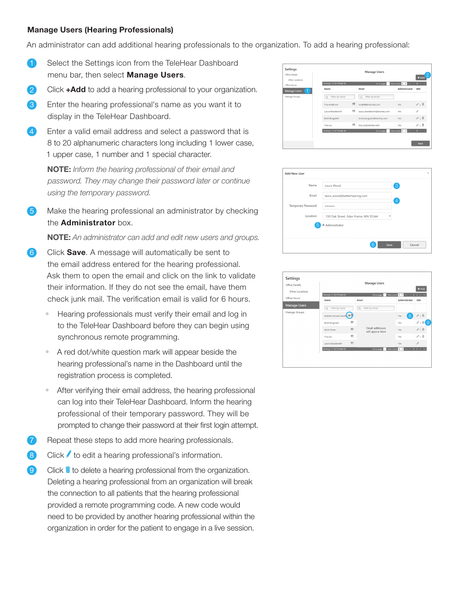#### Manage Users (Hearing Professionals)

An administrator can add additional hearing professionals to the organization. To add a hearing professional:

- **1** Select the Settings icon from the TeleHear Dashboard menu bar, then select **Manage Users**.
- 2 Click +Add to add a hearing professional to your organization.
- **3** Enter the hearing professional's name as you want it to display in the TeleHear Dashboard.
- 4 Enter a valid email address and select a password that is 8 to 20 alphanumeric characters long including 1 lower case, 1 upper case, 1 number and 1 special character.

 NOTE: *Inform the hearing professional of their email and password. They may change their password later or continue using the temporary password.*

5 Make the hearing professional an administrator by checking the **Administrator** box.

NOTE: *An administrator can add and edit new users and groups.*

- 6 Click **Save**. A message will automatically be sent to the email address entered for the hearing professional. Ask them to open the email and click on the link to validate their information. If they do not see the email, have them check junk mail. The verification email is valid for 6 hours.
	- Hearing professionals must verify their email and log in to the TeleHear Dashboard before they can begin using synchronous remote programming.
	- A red dot/white question mark will appear beside the hearing professional's name in the Dashboard until the registration process is completed.
	- After verifying their email address, the hearing professional can log into their TeleHear Dashboard. Inform the hearing professional of their temporary password. They will be prompted to change their password at their first login attempt.
- **7** Repeat these steps to add more hearing professionals.
- 8 Click  $\ell$  to edit a hearing professional's information.
- $\bullet$  Click  $\hat{\mathbb{I}}$  to delete a hearing professional from the organization. Deleting a hearing professional from an organization will break the connection to all patients that the hearing professional provided a remote programming code. A new code would need to be provided by another hearing professional within the organization in order for the patient to engage in a live session.





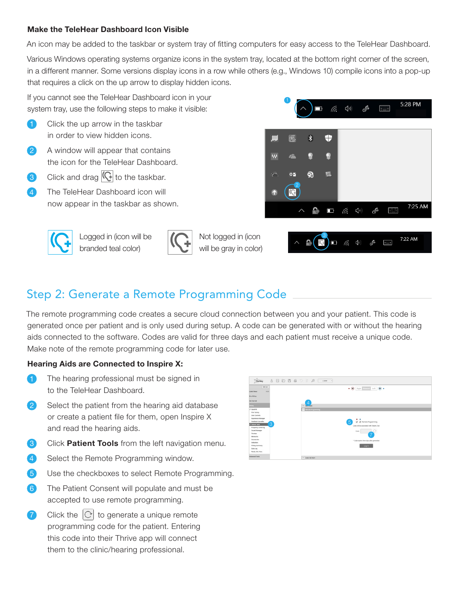#### Make the TeleHear Dashboard Icon Visible

An icon may be added to the taskbar or system tray of fitting computers for easy access to the TeleHear Dashboard.

Various Windows operating systems organize icons in the system tray, located at the bottom right corner of the screen, in a different manner. Some versions display icons in a row while others (e.g., Windows 10) compile icons into a pop-up that requires a click on the up arrow to display hidden icons.

If you cannot see the TeleHear Dashboard icon in your system tray, use the following steps to make it visible:

- 1 Click the up arrow in the taskbar in order to view hidden icons.
- 2 A window will appear that contains the icon for the TeleHear Dashboard.
- 3 Click and drag  $\mathbb{Q}$  to the taskbar.
- **4** The TeleHear Dashboard icon will now appear in the taskbar as shown.



Logged in (icon will be branded teal color)



Not logged in (icon will be gray in color)



 $\begin{picture}(150,10) \put(0,0){\line(1,0){10}} \put(15,0){\line(1,0){10}} \put(15,0){\line(1,0){10}} \put(15,0){\line(1,0){10}} \put(15,0){\line(1,0){10}} \put(15,0){\line(1,0){10}} \put(15,0){\line(1,0){10}} \put(15,0){\line(1,0){10}} \put(15,0){\line(1,0){10}} \put(15,0){\line(1,0){10}} \put(15,0){\line(1,0){10}} \put(15,0){\line($ 

cP 匰 7:22 AM

# Step 2: Generate a Remote Programming Code

The remote programming code creates a secure cloud connection between you and your patient. This code is generated once per patient and is only used during setup. A code can be generated with or without the hearing aids connected to the software. Codes are valid for three days and each patient must receive a unique code. Make note of the remote programming code for later use.

#### Hearing Aids are Connected to Inspire X:

- **1** The hearing professional must be signed in to the TeleHear Dashboard.
- 2 Select the patient from the hearing aid database or create a patient file for them, open Inspire X and read the hearing aids.
- **3** Click **Patient Tools** from the left navigation menu.
- 4 Select the Remote Programming window.
- **5** Use the checkboxes to select Remote Programming.
- **6** The Patient Consent will populate and must be accepted to use remote programming.
- **7** Click the  $|C|$  to generate a unique remote programming code for the patient. Entering this code into their Thrive app will connect them to the clinic/hearing professional.